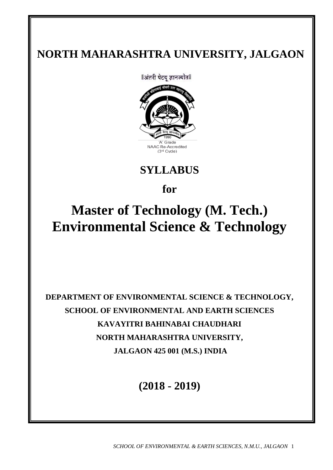# **NORTH MAHARASHTRA UNIVERSITY, JALGAON**

llअंतरी पेटवू ज्ञानज्योतll



**SYLLABUS** 

**for**

# **Master of Technology (M. Tech.) Environmental Science & Technology**

**DEPARTMENT OF ENVIRONMENTAL SCIENCE & TECHNOLOGY, SCHOOL OF ENVIRONMENTAL AND EARTH SCIENCES KAVAYITRI BAHINABAI CHAUDHARI NORTH MAHARASHTRA UNIVERSITY, JALGAON 425 001 (M.S.) INDIA**

**(2018 - 2019)**

*SCHOOL OF ENVIRONMENTAL & EARTH SCIENCES, N.M.U., JALGAON* 1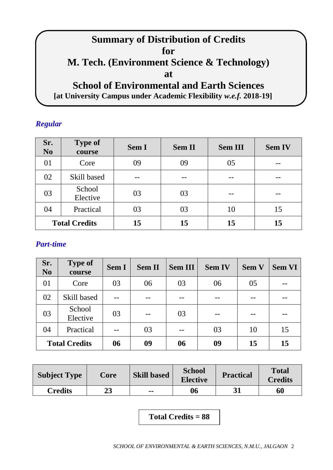# **Summary of Distribution of Credits for M. Tech. (Environment Science & Technology) at School of Environmental and Earth Sciences**

# **[at University Campus under Academic Flexibility** *w.e.f.* **2018-19]**

# *Regular*

| Sr.<br>N <sub>0</sub> | <b>Type of</b><br>course | Sem I | <b>Sem II</b> | <b>Sem III</b> | <b>Sem IV</b> |
|-----------------------|--------------------------|-------|---------------|----------------|---------------|
| 01                    | Core                     | 09    | 09            | 05             | --            |
| 02                    | Skill based              |       |               |                |               |
| 03                    | School<br>Elective       | 03    | 03            |                |               |
| 04                    | Practical                | 03    | 03            | 10             | 15            |
| <b>Total Credits</b>  |                          | 15    | 15            | 15             | 15            |

# *Part-time*

| Sr.<br>N <sub>0</sub> | <b>Type of</b><br>course | <b>Sem I</b> | <b>Sem II</b> | <b>Sem III</b> | <b>Sem IV</b> | <b>Sem V</b> | <b>Sem VI</b> |
|-----------------------|--------------------------|--------------|---------------|----------------|---------------|--------------|---------------|
| 01                    | Core                     | 03           | 06            | 03             | 06            | 05           |               |
| 02                    | Skill based              |              |               |                |               |              |               |
| 03                    | School<br>Elective       | 03           |               | 03             |               |              |               |
| 04                    | Practical                |              | 03            |                | 03            | 10           | 15            |
|                       | <b>Total Credits</b>     |              | 09            | 06             | 09            | 15           | 15            |

| <b>Subject Type</b> | Core | <b>Skill based</b> | <b>School</b><br><b>Elective</b> | <b>Practical</b> | <b>Total</b><br><b>Credits</b> |
|---------------------|------|--------------------|----------------------------------|------------------|--------------------------------|
| <b>Credits</b>      | 23   | $\sim$ $\sim$      | 06                               | 31               | 60                             |

**Total Credits = 88**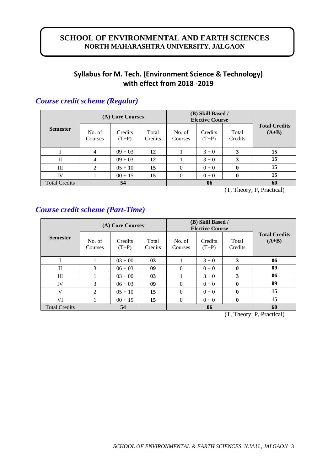# **SCHOOL OF ENVIRONMENTAL AND EARTH SCIENCES NORTH MAHARASHTRA UNIVERSITY, JALGAON**

# **Syllabus for M. Tech. (Environment Science & Technology) with effect from 2018 -2019**

|                      |                   | (A) Core Courses   |                  | (B) Skill Based /<br><b>Elective Course</b> |                    |                  |                                 |
|----------------------|-------------------|--------------------|------------------|---------------------------------------------|--------------------|------------------|---------------------------------|
| <b>Semester</b>      | No. of<br>Courses | Credits<br>$(T+P)$ | Total<br>Credits | No. of<br>Courses                           | Credits<br>$(T+P)$ | Total<br>Credits | <b>Total Credits</b><br>$(A+B)$ |
|                      | 4                 | $09 + 03$          | 12               |                                             | $3 + 0$            | 3                | 15                              |
| П                    | 4                 | $09 + 03$          | 12               |                                             | $3 + 0$            | 3                | 15                              |
| Ш                    | 2                 | $05 + 10$          | 15               | $\theta$                                    | $0 + 0$            |                  | 15                              |
| IV                   |                   | $00 + 15$          | 15               | $\theta$                                    | $0 + 0$            | 0                | 15                              |
| <b>Total Credits</b> |                   | 54                 |                  |                                             | 06                 |                  | 60                              |

# *Course credit scheme (Regular)*

(T, Theory; P, Practical)

# *Course credit scheme (Part-Time)*

|                      |                   | (A) Core Courses   |                  | (B) Skill Based /<br><b>Elective Course</b> |                    |                                       |                                 |
|----------------------|-------------------|--------------------|------------------|---------------------------------------------|--------------------|---------------------------------------|---------------------------------|
| <b>Semester</b>      | No. of<br>Courses | Credits<br>$(T+P)$ | Total<br>Credits | No. of<br>Courses                           | Credits<br>$(T+P)$ | Total<br>Credits                      | <b>Total Credits</b><br>$(A+B)$ |
|                      |                   | $03 + 00$          | 03               |                                             | $3 + 0$            | 3                                     | 06                              |
| $\mathbf{I}$         | 3                 | $06 + 03$          | 09               | $\Omega$                                    | $0 + 0$            | $\mathbf 0$                           | 09                              |
| Ш                    |                   | $03 + 00$          | 03               |                                             | $3 + 0$            | 3                                     | 06                              |
| IV                   | 3                 | $06 + 03$          | 09               | $\theta$                                    | $0 + 0$            | $\mathbf{0}$                          | 09                              |
| V                    | 2                 | $05 + 10$          | 15               | $\theta$                                    | $0 + 0$            | $\mathbf{0}$                          | 15                              |
| VI                   |                   | $00 + 15$          | 15               | $\theta$                                    | $0 + 0$            | $\mathbf{0}$                          | 15                              |
| <b>Total Credits</b> | 54                |                    |                  |                                             |                    | 60<br>$(T1 - T1)$ $T2 - T3$ $T4 - T5$ |                                 |

(T, Theory; P, Practical)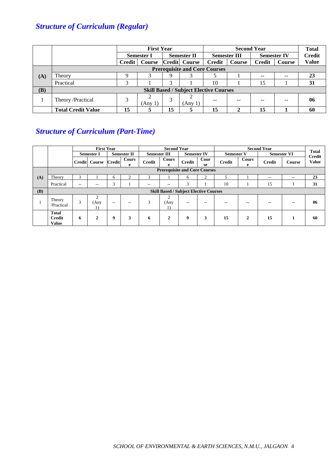# *Structure of Curriculum (Regular)*

|     |                                      | <b>First Year</b> |               |                    |                                               |                     | <b>Total</b> |                    |               |               |
|-----|--------------------------------------|-------------------|---------------|--------------------|-----------------------------------------------|---------------------|--------------|--------------------|---------------|---------------|
|     |                                      | <b>Semester I</b> |               | <b>Semester II</b> |                                               | <b>Semester III</b> |              | <b>Semester IV</b> |               | <b>Credit</b> |
|     |                                      | <b>Credit</b>     | <b>Course</b> |                    | Credit Course                                 | Credit              | Course       | <b>Credit</b>      | <b>Course</b> | <b>Value</b>  |
|     | <b>Prerequisite and Core Courses</b> |                   |               |                    |                                               |                     |              |                    |               |               |
| (A) | Theory                               |                   |               | Q                  | 3                                             |                     |              | $\qquad \qquad -$  | $- -$         | 23            |
|     | Practical                            |                   |               | 3                  |                                               | 10                  |              | 15                 |               | 31            |
| (B) |                                      |                   |               |                    | <b>Skill Based / Subject Elective Courses</b> |                     |              |                    |               |               |
|     | Theory /Practical                    |                   | (Any 1)       | 3                  | (Any 1)                                       | --                  | --           | --                 | --            | 06            |
|     | <b>Total Credit Value</b>            | 15                |               | 15                 | 5                                             | 15                  | 2            | 15                 |               | 60            |

# *Structure of Curriculum (Part-Time)*

|            |                                               |       | <b>First Year</b>        |                    |                     |               | <b>Second Year</b> |                                               |                   |               |            | <b>Second Year</b> |        | <b>Total</b>                  |
|------------|-----------------------------------------------|-------|--------------------------|--------------------|---------------------|---------------|--------------------|-----------------------------------------------|-------------------|---------------|------------|--------------------|--------|-------------------------------|
|            | <b>Semester I</b>                             |       |                          | <b>Semester II</b> | <b>Semester III</b> |               | <b>Semester IV</b> |                                               | <b>Semester V</b> |               |            | <b>Semester VI</b> |        |                               |
|            |                                               |       | Credit Course            | <b>Credit</b>      | Cours<br>e          | <b>Credit</b> | Cours<br>e         | <b>Credit</b>                                 | Cour<br>se        | <b>Credit</b> | Cours<br>e | <b>Credit</b>      | Course | <b>Credit</b><br><b>Value</b> |
|            |                                               |       |                          |                    |                     |               |                    | <b>Prerequisite and Core Courses</b>          |                   |               |            |                    |        |                               |
| (A)        | Theory                                        | 3     |                          | 6                  |                     | 3             |                    | 6                                             | $\overline{2}$    | 5             |            | $- -$              | $- -$  | 23                            |
|            | Practical                                     | $- -$ | $\overline{\phantom{a}}$ | 3                  |                     | $- -$         | --                 | 3                                             |                   | 10            |            | 15                 |        | 31                            |
| <b>(B)</b> |                                               |       |                          |                    |                     |               |                    | <b>Skill Based / Subject Elective Courses</b> |                   |               |            |                    |        |                               |
|            | Theory<br>/Practical                          | 3     | C<br>(Any<br>1)          | $- -$              | $-$                 | 3             | C<br>(Any<br>1)    | $- -$                                         | $- -$             | $- -$         | $- -$      | $\sim$ $\sim$      | $\sim$ | 06                            |
|            | <b>Total</b><br><b>Credit</b><br><b>Value</b> | 6     | $\mathbf{2}$             | 9                  | 3                   | 6             | 2                  | 9                                             | 3                 | 15            | 2          | 15                 |        | 60                            |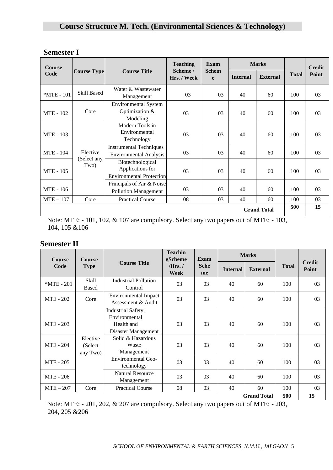| <b>Semester I</b> |  |
|-------------------|--|
|-------------------|--|

| <b>Course</b>    |                     |                                                                         | <b>Teaching</b>       | Exam              |                 | <b>Marks</b>       |              | <b>Credit</b>  |
|------------------|---------------------|-------------------------------------------------------------------------|-----------------------|-------------------|-----------------|--------------------|--------------|----------------|
| Code             | <b>Course Type</b>  | <b>Course Title</b>                                                     | Scheme /<br>Hrs./Week | <b>Schem</b><br>e | <b>Internal</b> | <b>External</b>    | <b>Total</b> | Point          |
| *MTE - 101       | <b>Skill Based</b>  | Water & Wastewater<br>Management                                        | 03                    | 03                | 40              | 60                 | 100          | 03             |
| MTE - 102        | Core                | <b>Environmental System</b><br>Optimization &<br>Modeling               | 03                    | 03                | 40              | 60                 | 100          | 03             |
| MTE - 103        |                     | Modern Tools in<br>Environmental<br>Technology                          | 03                    | 03                | 40              | 60                 | 100          | 0 <sub>3</sub> |
| <b>MTE</b> - 104 | Elective            | <b>Instrumental Techniques</b><br><b>Environmental Analysis</b>         | 03                    | 03                | 40              | 60                 | 100          | 03             |
| <b>MTE</b> - 105 | (Select any<br>Two) | Biotechnological<br>Applications for<br><b>Environmental Protection</b> | 03                    | 03                | 40              | 60                 | 100          | 03             |
| MTE - 106        |                     | Principals of Air & Noise<br><b>Pollution Management</b>                | 03                    | 03                | 40              | 60                 | 100          | 03             |
| $MTE - 107$      | Core                | <b>Practical Course</b>                                                 | 08                    | 03                | 40              | 60                 | 100          | 03             |
|                  |                     |                                                                         |                       |                   |                 | <b>Grand Total</b> | 500          | 15             |

Note: MTE: - 101, 102, & 107 are compulsory. Select any two papers out of MTE: - 103, 104, 105 &106

# **Semester II**

| <b>Course</b>    | <b>Course</b>                   |                                                                          | <b>Teachin</b><br>gScheme | <b>Exam</b>       |                 | <b>Marks</b>       |              |                        |
|------------------|---------------------------------|--------------------------------------------------------------------------|---------------------------|-------------------|-----------------|--------------------|--------------|------------------------|
| Code             | <b>Type</b>                     | <b>Course Title</b>                                                      | $Hrs.$ /<br>Week          | <b>Sche</b><br>me | <b>Internal</b> | <b>External</b>    | <b>Total</b> | <b>Credit</b><br>Point |
| $*MTE - 201$     | Skill<br><b>Based</b>           | <b>Industrial Pollution</b><br>Control                                   | 03                        | 03                | 40              | 60                 | 100          | 03                     |
| <b>MTE</b> - 202 | Core                            | <b>Environmental Impact</b><br>Assessment & Audit                        | 03                        | 03                | 40              | 60                 | 100          | 03                     |
| <b>MTE - 203</b> |                                 | Industrial Safety,<br>Environmental<br>Health and<br>Disaster Management | 03                        | 03                | 40              | 60                 | 100          | 03                     |
| <b>MTE - 204</b> | Elective<br>(Select<br>any Two) | Solid & Hazardous<br>Waste<br>Management                                 | 0 <sub>3</sub>            | 03                | 40              | 60                 | 100          | 03                     |
| <b>MTE</b> - 205 |                                 | Environmental Geo-<br>technology                                         | 03                        | 03                | 40              | 60                 | 100          | 03                     |
| MTE - 206        |                                 | <b>Natural Resource</b><br>Management                                    | 03                        | 03                | 40              | 60                 | 100          | 03                     |
| $MTE-207$        | Core                            | <b>Practical Course</b>                                                  | 08                        | 03                | 40              | 60                 | 100          | 03                     |
|                  |                                 |                                                                          |                           |                   |                 | <b>Grand Total</b> | 500          | 15                     |

Note: MTE: - 201, 202, & 207 are compulsory. Select any two papers out of MTE: - 203, 204, 205 &206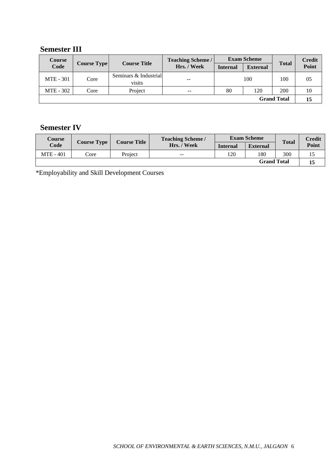# **Semester III**

| Course<br>Code   | <b>Course Type</b> | <b>Course Title</b>             | <b>Teaching Scheme /</b> |                 | <b>Exam Scheme</b> | <b>Total</b>       | <b>Credit</b> |
|------------------|--------------------|---------------------------------|--------------------------|-----------------|--------------------|--------------------|---------------|
|                  |                    |                                 | Hrs. / Week              | <b>Internal</b> | <b>External</b>    |                    | Point         |
| <b>MTE</b> - 301 | Core               | Seminars & Industrial<br>visits | $- -$                    | 100             |                    | 100                | 05            |
| MTE - 302        | Core               | Project                         | $\overline{\phantom{m}}$ | 80              | 120                | 200                | 10            |
|                  |                    |                                 |                          |                 |                    | <b>Grand Total</b> | 15            |

# **Semester IV**

| <b>Course</b>    |                    |                     | <b>Teaching Scheme /</b> |                 | <b>Exam Scheme</b> |              | Credit |
|------------------|--------------------|---------------------|--------------------------|-----------------|--------------------|--------------|--------|
| Code             | <b>Course Type</b> | <b>Course Title</b> | Hrs. / Week              | <b>Internal</b> | <b>External</b>    | <b>Total</b> | Point  |
| <b>MTE</b> - 401 | Core               | Project             | $\sim$ $\sim$            | 120             | 180                | 300          |        |
|                  |                    |                     |                          |                 | <b>Grand Total</b> |              | 15     |

\*Employability and Skill Development Courses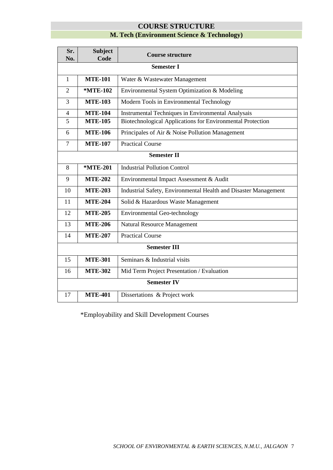# **COURSE STRUCTURE**

# **M. Tech (Environment Science & Technology)**

| Sr.<br>No.     | <b>Subject</b><br>Code | <b>Course structure</b>                                         |  |
|----------------|------------------------|-----------------------------------------------------------------|--|
|                | <b>Semester I</b>      |                                                                 |  |
| 1              | <b>MTE-101</b>         | Water & Wastewater Management                                   |  |
| $\overline{2}$ | *MTE-102               | Environmental System Optimization & Modeling                    |  |
| 3              | <b>MTE-103</b>         | Modern Tools in Environmental Technology                        |  |
| $\overline{4}$ | <b>MTE-104</b>         | <b>Instrumental Techniques in Environmental Analysais</b>       |  |
| 5              | <b>MTE-105</b>         | Biotechnological Applications for Environmental Protection      |  |
| 6              | <b>MTE-106</b>         | Principales of Air & Noise Pollution Management                 |  |
| $\overline{7}$ | <b>MTE-107</b>         | <b>Practical Course</b>                                         |  |
|                |                        | <b>Semester II</b>                                              |  |
| 8              | *MTE-201               | <b>Industrial Pollution Control</b>                             |  |
| 9              | <b>MTE-202</b>         | Environmental Impact Assessment & Audit                         |  |
| 10             | <b>MTE-203</b>         | Industrial Safety, Environmental Health and Disaster Management |  |
| 11             | <b>MTE-204</b>         | Solid & Hazardous Waste Management                              |  |
| 12             | <b>MTE-205</b>         | <b>Environmental Geo-technology</b>                             |  |
| 13             | <b>MTE-206</b>         | Natural Resource Management                                     |  |
| 14             | <b>MTE-207</b>         | <b>Practical Course</b>                                         |  |
|                | <b>Semester III</b>    |                                                                 |  |
| 15             | <b>MTE-301</b>         | Seminars & Industrial visits                                    |  |
| 16             | <b>MTE-302</b>         | Mid Term Project Presentation / Evaluation                      |  |
|                | <b>Semester IV</b>     |                                                                 |  |
| 17             | <b>MTE-401</b>         | Dissertations & Project work                                    |  |

\*Employability and Skill Development Courses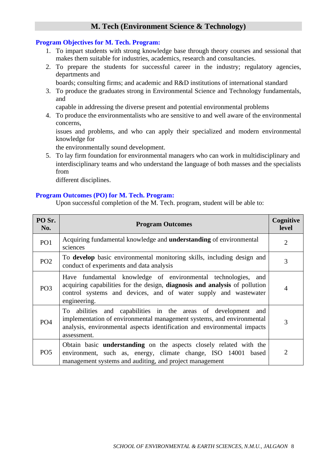# **M. Tech (Environment Science & Technology)**

## **Program Objectives for M. Tech. Program:**

- 1. To impart students with strong knowledge base through theory courses and sessional that makes them suitable for industries, academics, research and consultancies.
- 2. To prepare the students for successful career in the industry; regulatory agencies, departments and
	- boards; consulting firms; and academic and R&D institutions of international standard
- 3. To produce the graduates strong in Environmental Science and Technology fundamentals, and

capable in addressing the diverse present and potential environmental problems

4. To produce the environmentalists who are sensitive to and well aware of the environmental concerns,

issues and problems, and who can apply their specialized and modern environmental knowledge for

the environmentally sound development.

5. To lay firm foundation for environmental managers who can work in multidisciplinary and interdisciplinary teams and who understand the language of both masses and the specialists from

different disciplines.

# **Program Outcomes (PO) for M. Tech. Program:**

Upon successful completion of the M. Tech. program, student will be able to:

| PO Sr.<br>No.   | <b>Program Outcomes</b>                                                                                                                                                                                                           | Cognitive<br>level |
|-----------------|-----------------------------------------------------------------------------------------------------------------------------------------------------------------------------------------------------------------------------------|--------------------|
| PO <sub>1</sub> | Acquiring fundamental knowledge and <b>understanding</b> of environmental<br>sciences                                                                                                                                             | $\overline{2}$     |
| PO <sub>2</sub> | To develop basic environmental monitoring skills, including design and<br>conduct of experiments and data analysis                                                                                                                | 3                  |
| PO <sub>3</sub> | Have fundamental knowledge of environmental technologies, and<br>acquiring capabilities for the design, diagnosis and analysis of pollution<br>control systems and devices, and of water supply and wastewater<br>engineering.    |                    |
| PO <sub>4</sub> | To abilities and capabilities in the areas of development and<br>implementation of environmental management systems, and environmental<br>analysis, environmental aspects identification and environmental impacts<br>assessment. | 3                  |
| PO <sub>5</sub> | Obtain basic <b>understanding</b> on the aspects closely related with the<br>environment, such as, energy, climate change, ISO 14001 based<br>management systems and auditing, and project management                             | 2                  |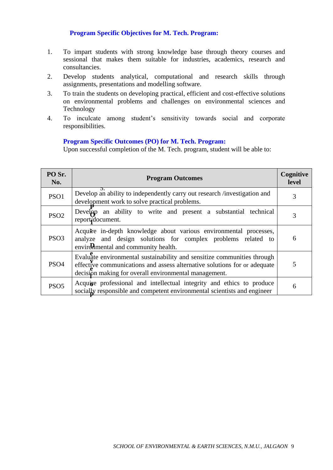# **Program Specific Objectives for M. Tech. Program:**

- 1. To impart students with strong knowledge base through theory courses and sessional that makes them suitable for industries, academics, research and consultancies.
- 2. Develop students analytical, computational and research skills through assignments, presentations and modelling software.
- 3. To train the students on developing practical, efficient and cost-effective solutions on environmental problems and challenges on environmental sciences and Technology
- 4. To inculcate among student's sensitivity towards social and corporate responsibilities.

# **Program Specific Outcomes (PO) for M. Tech. Program:**

Upon successful completion of the M. Tech. program, student will be able to:

| PO Sr.<br>No.    | <b>Program Outcomes</b>                                                                                                                                                                                       | Cognitive<br>level |
|------------------|---------------------------------------------------------------------------------------------------------------------------------------------------------------------------------------------------------------|--------------------|
| PSO1             | Develop an ability to independently carry out research /investigation and<br>development work to solve practical problems.                                                                                    |                    |
| PSO <sub>2</sub> | Develop an ability to write and present a substantial technical<br>report document.                                                                                                                           |                    |
| PSO <sub>3</sub> | Acquire in-depth knowledge about various environmental processes,<br>analyze and design solutions for complex problems related to<br>environmental and community health.                                      | 6                  |
| PS <sub>O4</sub> | Evaluate environmental sustainability and sensitize communities through<br>effective communications and assess alternative solutions for or adequate<br>decision making for overall environmental management. |                    |
| PSO <sub>5</sub> | Acquire professional and intellectual integrity and ethics to produce<br>socially responsible and competent environmental scientists and engineer                                                             | h                  |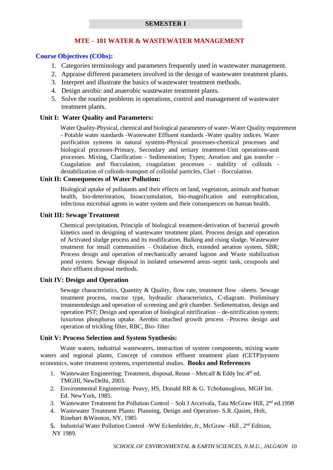#### **SEMESTER I**

#### **MTE – 101 WATER & WASTEWATER MANAGEMENT**

#### **Course Objectives (CObs):**

- 1. Categories terminology and parameters frequently used in wastewater management.
- 2. Appraise different parameters involved in the design of wastewater treatment plants.
- 3. Interpret and illustrate the basics of wastewater treatment methods.
- 4. Design aerobic and anaerobic wastewater treatment plants.
- 5. Solve the routine problems in operations, control and management of wastewater treatment plants.

#### **Unit I: Water Quality and Parameters:**

Water Quality-Physical, chemical and biological parameters of water- Water Quality requirement - Potable water standards -Wastewater Effluent standards -Water quality indices. Water purification systems in natural systems-Physical processes-chemical processes and biological processes-Primary, Secondary and tertiary treatment-Unit operations-unit processes. Mixing, Clarification - Sedimentation; Types; Aeration and gas transfer – Coagulation and flocculation, coagulation processes - stability of colloids destabilization of colloids-transport of colloidal particles, Clari – flocculation.

#### **Unit II: Consequences of Water Pollution:**

Biological uptake of pollutants and their effects on land, vegetation, animals and human health, bio-deterioration, bioaccumulation, bio-magnification and eutrophication, infectious microbial agents in water system and their consequences on human health.

#### **Unit III: Sewage Treatment**

Chemical precipitation, Principle of biological treatment-derivation of bacterial growth kinetics used in designing of wastewater treatment plant. Process design and operation of Activated sludge process and its modification. Bulking and rising sludge. Wastewater treatment for small communities – Oxidation ditch, extended aeration system, SBR; Process design and operation of mechanically aerated lagoon and Waste stabilization pond system. Sewage disposal in isolated unsewered areas–septic tank, cesspools and their effluent disposal methods.

## **Unit IV: Design and Operation**

Sewage characteristics, Quantity & Quality, flow rate, treatment flow –sheets. Sewage treatment process, reactor type, hydraulic characteristics, C-diagram. Preliminary treatmentdesign and operation of screening and grit chamber. Sedimentation, design and operation PST; Design and operation of biological nitrification – de-nitrification system; luxurious phosphorus uptake. Aerobic attached growth process –Process design and operation of trickling filter, RBC, Bio- filter

#### **Unit V: Process Selection and System Synthesis:**

Waste waters, industrial wastewaters, interaction of system components, mixing waste waters and regional plants, Concept of common effluent treatment plant (CETP)system economics, water treatment systems, experimental studies. **Books and References**

- 1. Wastewater Engineering: Treatment, disposal, Reuse Metcalf & Eddy Inc. $4<sup>th</sup>$  ed. TMGHl, NewDelhi, 2003.
- 2. Environmental Engineering- Peavy, HS, Donald RR & G. Tchobanoglous, MGH Int. Ed. NewYork, 1985.
- 3. Wastewater Treatment for Pollution Control Soli J Arceivala, Tata McGraw Hill, 2<sup>nd</sup> ed.1998
- 4. Wastewater Treatment Plants: Planning, Design and Operation- S.R..Qasim, Holt, Rinehart &Winston, NY, 1985
- 5. Industrial Water Pollution Control -WW Eckenfelder, Jr., McGraw -Hill, 2<sup>nd</sup> Edition, NY 1989.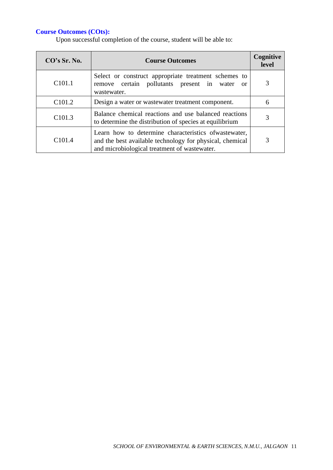| CO's Sr. No.       | <b>Course Outcomes</b>                                                                                                                                             | Cognitive<br>level |
|--------------------|--------------------------------------------------------------------------------------------------------------------------------------------------------------------|--------------------|
| C <sub>101.1</sub> | Select or construct appropriate treatment schemes to<br>remove certain pollutants present in water<br>$\alpha$<br>wastewater.                                      |                    |
| C <sub>101.2</sub> | Design a water or was tewater treatment component.                                                                                                                 | 6                  |
| C <sub>101.3</sub> | Balance chemical reactions and use balanced reactions<br>to determine the distribution of species at equilibrium                                                   |                    |
| C <sub>101.4</sub> | Learn how to determine characteristics of was tewater,<br>and the best available technology for physical, chemical<br>and microbiological treatment of wastewater. |                    |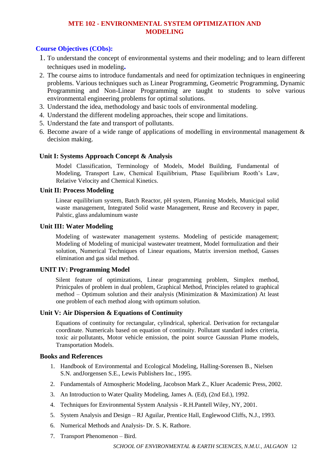# **MTE 102 - ENVIRONMENTAL SYSTEM OPTIMIZATION AND MODELING**

# **Course Objectives (CObs):**

- 1. To understand the concept of environmental systems and their modeling; and to learn different techniques used in modeling**.**
- 2. The course aims to introduce fundamentals and need for optimization techniques in engineering problems. Various techniques such as Linear Programming, Geometric Programming, Dynamic Programming and Non-Linear Programming are taught to students to solve various environmental engineering problems for optimal solutions.
- 3. Understand the idea, methodology and basic tools of environmental modeling.
- 4. Understand the different modeling approaches, their scope and limitations.
- 5. Understand the fate and transport of pollutants.
- 6. Become aware of a wide range of applications of modelling in environmental management & decision making.

## **Unit I: Systems Approach Concept & Analysis**

Model Classification, Terminology of Models, Model Building, Fundamental of Modeling, Transport Law, Chemical Equilibrium, Phase Equilibrium Rooth's Law, Relative Velocity and Chemical Kinetics.

#### **Unit II: Process Modeling**

Linear equilibrium system, Batch Reactor, pH system, Planning Models, Municipal solid waste management, Integrated Solid waste Management, Reuse and Recovery in paper, Palstic, glass andaluminum waste

#### **Unit III: Water Modeling**

Modeling of wastewater management systems. Modeling of pesticide management; Modeling of Modeling of municipal wastewater treatment, Model formulization and their solution, Numerical Techniques of Linear equations, Matrix inversion method, Gasses elimination and gas sidal method.

## **UNIT IV: Programming Model**

Silent feature of optimizations, Linear programming problem, Simplex method, Prinicpales of problem in dual problem, Graphical Method, Principles related to graphical method – Optimum solution and their analysis (Minimization & Maximization) At least one problem of each method along with optimum solution.

## **Unit V: Air Dispersion & Equations of Continuity**

Equations of continuity for rectangular, cylindrical, spherical. Derivation for rectangular coordinate. Numericals based on equation of continuity. Pollutant standard index criteria, toxic air pollutants, Motor vehicle emission, the point source Gaussian Plume models, Transportation Models.

#### **Books and References**

- 1. Handbook of Environmental and Ecological Modeling, Halling-Sorensen B., Nielsen S.N. andJorgensen S.E., Lewis Publishers Inc., 1995.
- 2. Fundamentals of Atmospheric Modeling, Jacobson Mark Z., Kluer Academic Press, 2002.
- 3. An Introduction to Water Quality Modeling, James A. (Ed), (2nd Ed.), 1992.
- 4. Techniques for Environmental System Analysis R.H.Pantell Wiley, NY, 2001.
- 5. System Analysis and Design RJ Aguilar, Prentice Hall, Englewood Cliffs, N.J., 1993.
- 6. Numerical Methods and Analysis- Dr. S. K. Rathore.
- 7. Transport Phenomenon Bird.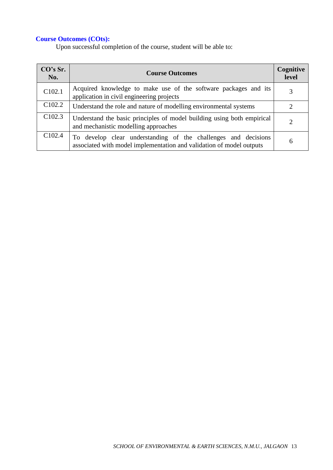| CO's Sr.<br>No.    | <b>Course Outcomes</b>                                                                                                                 | Cognitive<br>level |
|--------------------|----------------------------------------------------------------------------------------------------------------------------------------|--------------------|
| C102.1             | Acquired knowledge to make use of the software packages and its<br>application in civil engineering projects                           | 3                  |
| C <sub>102.2</sub> | Understand the role and nature of modelling environmental systems                                                                      | 2                  |
| C <sub>102.3</sub> | Understand the basic principles of model building using both empirical<br>and mechanistic modelling approaches                         | $\overline{2}$     |
| C <sub>102.4</sub> | To develop clear understanding of the challenges and decisions<br>associated with model implementation and validation of model outputs | 6                  |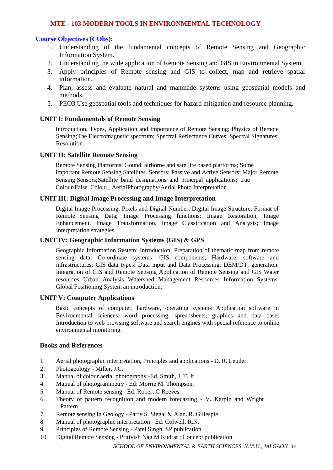## **MTE - 103 MODERN TOOLS IN ENVIRONMENTAL TECHNOLOGY**

# **Course Objectives (CObs):**

- 1. Understanding of the fundamental concepts of Remote Sensing and Geographic Information System.
- 2. Understanding the wide application of Remote Sensing and GIS in Environmental System
- 3. Apply principles of Remote sensing and GIS to collect, map and retrieve spatial information.
- 4. Plan, assess and evaluate natural and manmade systems using geospatial models and methods.
- 5. PEO3 Use geospatial tools and techniques for hazard mitigation and resource planning.

#### **UNIT I: Fundamentals of Remote Sensing**

Introduction, Types, Application and Importance of Remote Sensing; Physics of Remote Sensing;The Electromagnetic spectrum; Spectral Reflectance Curves; Spectral Signatures; Resolution.

#### **UNIT II: Satellite Remote Sensing**

Remote Sensing Platforms: Gound, airborne and satellite based platforms; Some important Remote Sensing Satellites. Sensors: Passive and Active Sensors; Major Remote Sensing Sensors;Satellite band designations and principal applications; true Colour/False Colour, AerialPhotography/Aerial Photo Interpretation.

# **UNIT III: Digital Image Processing and Image Interpretation**

Digital Image Processing: Pixels and Digital Number; Digital Image Structure; Format of Remote Sensing Data; Image Processing functions: Image Restoration, Image Enhancement, Image Transformation, Image Classification and Analysis; Image Interpretation strategies.

#### **UNIT IV: Geographic Information Systems (GIS) & GPS**

Geographic Information System; Introduction; Preparation of thematic map from remote sensing data; Co-ordinate systems; GIS components; Hardware, software and infrastructures; GIS data types: Data input and Data Processing; DEM/DT, generation. Integration of GIS and Remote Sensing Application of Remote Sensing and GIS Water resources Urban Analysis Watershed Management Resources Information Systems. Global Positioning System an introduction.

#### **UNIT V: Computer Applications**

Basic concepts of computer, hardware, operating systems Application software in Environmental sciences: word processing, spreadsheets, graphics and data base, Introduction to web browsing software and search engines with special reference to online environmental monitoring.

#### **Books and References**

- 1. Aerial photographic interpretation, Principles and applications D. R. Leuder.
- 2. Photogeology Miller, J.C.
- 3. Manual of colour aerial photography -Ed. Smith, J. T. Jr.
- 4. Manual of photogrammetry Ed: Morrie M. Thompson.
- 5. Manual of Remote sensing Ed: Robert G Reeves.
- 6. Theory of pattern recognition and modern forecasting V. Karpin and Wright Pattern.
- 7. Remote sensing in Geology Parry S. Siegal & Alan. R. Gillespie
- 8. Manual of photographic interpretation Ed: Colwell, R.N.
- 9. Principles of Remote Sensing Patel Singh; SP publication
- 10. Digital Remote Sensing Pritivish Nag M Kudrat ; Concept publication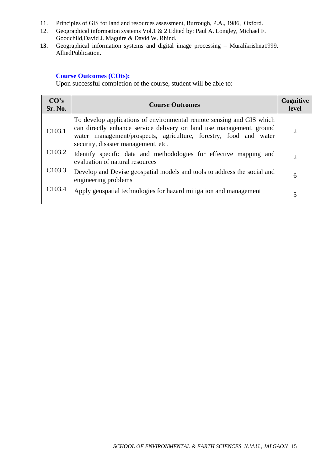- 11. Principles of GIS for land and resources assessment, Burrough, P.A., 1986, Oxford.
- 12. Geographical information systems Vol.1 & 2 Edited by: Paul A. Longley, Michael F. Goodchild,David J. Maguire & David W. Rhind.
- **13.** Geographical information systems and digital image processing Muralikrishna1999. AlliedPublication**.**

| CO's<br>Sr. No.    | <b>Course Outcomes</b>                                                                                                                                                                                                                                    | Cognitive<br>level |
|--------------------|-----------------------------------------------------------------------------------------------------------------------------------------------------------------------------------------------------------------------------------------------------------|--------------------|
| C <sub>103.1</sub> | To develop applications of environmental remote sensing and GIS which<br>can directly enhance service delivery on land use management, ground<br>water management/prospects, agriculture, forestry, food and water<br>security, disaster management, etc. |                    |
| C <sub>103.2</sub> | Identify specific data and methodologies for effective mapping and<br>evaluation of natural resources                                                                                                                                                     |                    |
| C <sub>103.3</sub> | Develop and Devise geospatial models and tools to address the social and<br>engineering problems                                                                                                                                                          | 6                  |
| C <sub>103.4</sub> | Apply geospatial technologies for hazard mitigation and management                                                                                                                                                                                        |                    |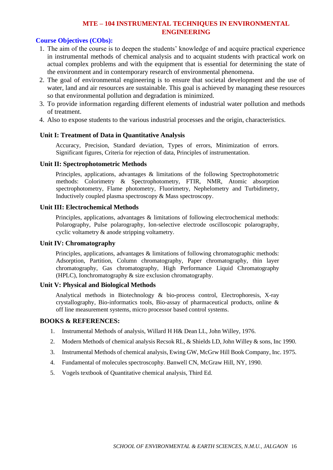# **MTE – 104 INSTRUMENTAL TECHNIQUES IN ENVIRONMENTAL ENGINEERING**

# **Course Objectives (CObs):**

- 1. The aim of the course is to deepen the students' knowledge of and acquire practical experience in instrumental methods of chemical analysis and to acquaint students with practical work on actual complex problems and with the equipment that is essential for determining the state of the environment and in contemporary research of environmental phenomena.
- 2. The goal of environmental engineering is to ensure that societal development and the use of water, land and air resources are sustainable. This goal is achieved by managing these resources so that environmental pollution and degradation is minimized.
- 3. To provide information regarding different elements of industrial water pollution and methods of treatment.
- 4. Also to expose students to the various industrial processes and the origin, characteristics.

# **Unit I: Treatment of Data in Quantitative Analysis**

Accuracy, Precision, Standard deviation, Types of errors, Minimization of errors. Significant figures, Criteria for rejection of data, Principles of instrumentation.

# **Unit II: Spectrophotometric Methods**

Principles, applications, advantages & limitations of the following Spectrophotometric methods: Colorimetry & Spectrophotometry, FTIR, NMR, Atomic absorption spectrophotometry, Flame photometry, Fluorimetry, Nephelometry and Turbidimetry, Inductively coupled plasma spectroscopy & Mass spectroscopy.

## **Unit III: Electrochemical Methods**

Principles, applications, advantages & limitations of following electrochemical methods: Polarography, Pulse polarography, Ion-selective electrode oscilloscopic polarography, cyclic voltametry & anode stripping voltametry.

## **Unit IV: Chromatography**

Principles, applications, advantages & limitations of following chromatographic methods: Adsorption, Partition, Column chromatography, Paper chromatography, thin layer chromatography, Gas chromatography, High Performance Liquid Chromatography (HPLC), Ionchromatography & size exclusion chromatography.

## **Unit V: Physical and Biological Methods**

Analytical methods in Biotechnology & bio-process control, Electrophoresis, X-ray crystallography, Bio-informatics tools, Bio-assay of pharmaceutical products, online & off line measurement systems, micro processor based control systems.

## **BOOKS & REFERENCES:**

- 1. Instrumental Methods of analysis, Willard H H& Dean LL, John Willey, 1976.
- 2. Modern Methods of chemical analysis Recsok RL, & Shields LD, John Willey & sons, Inc 1990.
- 3. Instrumental Methods of chemical analysis, Ewing GW, McGrw Hill Book Company, Inc. 1975.
- 4. Fundamental of molecules spectroscophy. Banwell CN, McGraw Hill, NY, 1990.
- 5. Vogels textbook of Quantitative chemical analysis, Third Ed.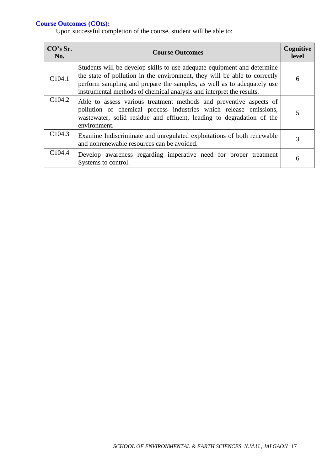| CO's Sr.<br>No.    | <b>Course Outcomes</b>                                                                                                                                                                                                                                                                                 | Cognitive<br>level |
|--------------------|--------------------------------------------------------------------------------------------------------------------------------------------------------------------------------------------------------------------------------------------------------------------------------------------------------|--------------------|
| C104.1             | Students will be develop skills to use adequate equipment and determine<br>the state of pollution in the environment, they will be able to correctly<br>perform sampling and prepare the samples, as well as to adequately use<br>instrumental methods of chemical analysis and interpret the results. | 6                  |
| C104.2             | Able to assess various treatment methods and preventive aspects of<br>pollution of chemical process industries which release emissions,<br>wastewater, solid residue and effluent, leading to degradation of the<br>environment.                                                                       | 5                  |
| C104.3             | Examine Indiscriminate and unregulated exploitations of both renewable<br>and nonrenewable resources can be avoided.                                                                                                                                                                                   | 3                  |
| C <sub>104.4</sub> | Develop awareness regarding imperative need for proper treatment<br>Systems to control.                                                                                                                                                                                                                | 6                  |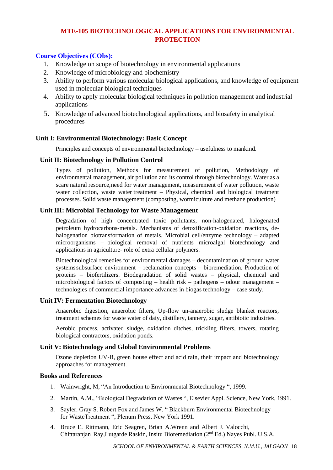# **MTE-105 BIOTECHNOLOGICAL APPLICATIONS FOR ENVIRONMENTAL PROTECTION**

# **Course Objectives (CObs):**

- 1. Knowledge on scope of biotechnology in environmental applications
- 2. Knowledge of microbiology and biochemistry
- 3. Ability to perform various molecular biological applications, and knowledge of equipment used in molecular biological techniques
- 4. Ability to apply molecular biological techniques in pollution management and industrial applications
- 5. Knowledge of advanced biotechnological applications, and biosafety in analytical procedures

# **Unit I: Environmental Biotechnology: Basic Concept**

Principles and concepts of environmental biotechnology – usefulness to mankind.

#### **Unit II: Biotechnology in Pollution Control**

Types of pollution, Methods for measurement of pollution, Methodology of environmental management, air pollution and its control through biotechnology. Water as a scare natural resource,need for water management, measurement of water pollution, waste water collection, waste water treatment – Physical, chemical and biological treatment processes. Solid waste management (composting, wormiculture and methane production)

## **Unit III: Microbial Technology for Waste Management**

Degradation of high concentrated toxic pollutants, non-halogenated, halogenated petroleum hydrocarbons-metals. Mechanisms of detoxification-oxidation reactions, dehalogenation biotransformation of metals. Microbial cell/enzyme technology – adapted microorganisms – biological removal of nutrients microalgal biotechnology and applications in agriculture- role of extra cellular polymers.

Biotechnological remedies for environmental damages – decontamination of ground water systemssubsurface environment – reclamation concepts – bioremediation. Production of proteins – biofertilizers. Biodegradation of solid wastes – physical, chemical and microbiological factors of composting – health risk – pathogens – odour management – technologies of commercial importance advances in biogas technology – case study.

## **Unit IV: Fermentation Biotechnology**

Anaerobic digestion, anaerobic filters, Up-flow un-anaerobic sludge blanket reactors, treatment schemes for waste water of daiy, distillery, tannery, sugar, antibiotic industries.

Aerobic process, activated sludge, oxidation ditches, trickling filters, towers, rotating biological contractors, oxidation ponds.

## **Unit V: Biotechnology and Global Environmental Problems**

Ozone depletion UV-B, green house effect and acid rain, their impact and biotechnology approaches for management.

## **Books and References**

- 1. Wainwright, M, "An Introduction to Environmental Biotechnology ", 1999.
- 2. Martin, A.M., "Biological Degradation of Wastes ", Elsevier Appl. Science, New York, 1991.
- 3. Sayler, Gray S. Robert Fox and James W. " Blackburn Environmental Biotechnology for WasteTreatment ", Plenum Press, New York 1991.
- 4. Bruce E. Rittmann, Eric Seagren, Brian A.Wrenn and Albert J. Valocchi, Chittaranjan Ray,Lutgarde Raskin, Insitu Bioremediation (2nd Ed.) Nayes Publ. U.S.A.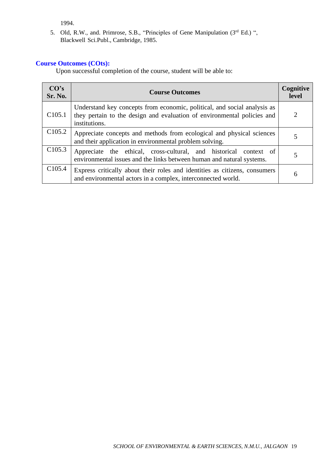1994.

5. Old, R.W., and. Primrose, S.B., "Principles of Gene Manipulation (3rd Ed.) ", Blackwell Sci.Publ., Cambridge, 1985.

## **Course Outcomes (COts):**

| CO's<br><b>Sr. No.</b> | <b>Course Outcomes</b>                                                                                                                                               | Cognitive<br>level |
|------------------------|----------------------------------------------------------------------------------------------------------------------------------------------------------------------|--------------------|
| C <sub>105.1</sub>     | Understand key concepts from economic, political, and social analysis as<br>they pertain to the design and evaluation of environmental policies and<br>institutions. |                    |
| C <sub>105.2</sub>     | Appreciate concepts and methods from ecological and physical sciences<br>and their application in environmental problem solving.                                     | 5                  |
| C <sub>105.3</sub>     | Appreciate the ethical, cross-cultural, and historical context of<br>environmental issues and the links between human and natural systems.                           |                    |
| C <sub>105.4</sub>     | Express critically about their roles and identities as citizens, consumers<br>and environmental actors in a complex, interconnected world.                           | 6                  |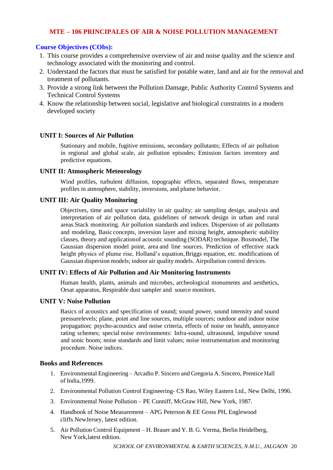# **MTE – 106 PRINCIPALES OF AIR & NOISE POLLUTION MANAGEMENT**

# **Course Objectives (CObs):**

- 1. This course provides a comprehensive overview of air and noise quality and the science and technology associated with the monitoring and control.
- 2. Understand the factors that must be satisfied for potable water, land and air for the removal and treatment of pollutants.
- 3. Provide a strong link between the Pollution Damage, Public Authority Control Systems and Technical Control Systems
- 4. Know the relationship between social, legislative and biological constraints in a modern developed society

## **UNIT I: Sources of Air Pollution**

Stationary and mobile, fugitive emissions, secondary pollutants; Effects of air pollution in regional and global scale, air pollution episodes; Emission factors inventory and predictive equations.

#### **UNIT II: Atmospheric Meteorology**

Wind profiles, turbulent diffusion, topographic effects, separated flows, temperature profiles in atmosphere, stability, inversions, and plume behavior.

#### **UNIT III: Air Quality Monitoring**

Objectives, time and space variability in air quality; air sampling design, analysis and interpretation of air pollution data, guidelines of network design in urban and rural areas.Stack monitoring. Air pollution standards and indices. Dispersion of air pollutants and modeling, Basic concepts, inversion layer and mixing height, atmospheric stability classes, theory and applicationof acoustic sounding (SODAR) technique. Boxmodel, The Gaussian dispersion model point, area and line sources. Prediction of effective stack height physics of plume rise, Holland's equation, Briggs equation, etc. modifications of Gaussian dispersion models; indoor air quality models. Airpollution control devices.

## **UNIT IV: Effects of Air Pollution and Air Monitoring Instruments**

Human health, plants, animals and microbes, archeological monuments and aesthetics, Orsat apparatus, Respirable dust sampler and source monitors.

#### **UNIT V: Noise Pollution**

Basics of acoustics and specification of sound; sound power, sound intensity and sound pressurelevels; plane, point and line sources, multiple sources; outdoor and indoor noise propagation; psycho-acoustics and noise criteria, effects of noise on health, annoyance rating schemes; special noise environments: Infra-sound, ultrasound, impulsive sound and sonic boom; noise standards and limit values; noise instrumentation and monitoring procedure. Noise indices.

#### **Books and References**

- 1. Environmental Engineering Arcadio P. Sincero and Gregoria A. Sincero, Prentice Hall of India,1999.
- 2. Environmental Pollution Control Engineering- CS Rao, Wiley Eastern Ltd., New Delhi, 1996.
- 3. Environmental Noise Pollution PE Cunniff, McGraw Hill, New York, 1987.
- 4. Handbook of Noise Measurement APG Peterson & EE Gross PH, Englewood cliffs NewJersey, latest edition.
- 5. Air Pollution Control Equipment H. Brauer and Y. B. G. Verma, Berlin Heidelberg, New York,latest edition.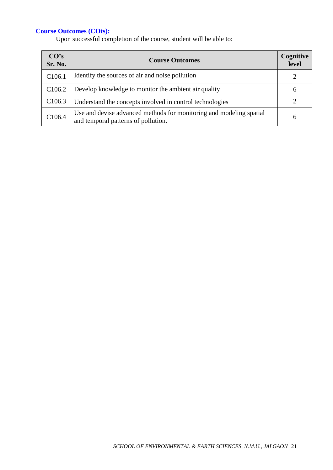| CO's<br>Sr. No.    | <b>Course Outcomes</b>                                                                                     | Cognitive<br>level |
|--------------------|------------------------------------------------------------------------------------------------------------|--------------------|
| C <sub>106.1</sub> | Identify the sources of air and noise pollution                                                            |                    |
| C <sub>106.2</sub> | Develop knowledge to monitor the ambient air quality                                                       | 6                  |
| C <sub>106.3</sub> | Understand the concepts involved in control technologies                                                   |                    |
| C106.4             | Use and devise advanced methods for monitoring and modeling spatial<br>and temporal patterns of pollution. | 6                  |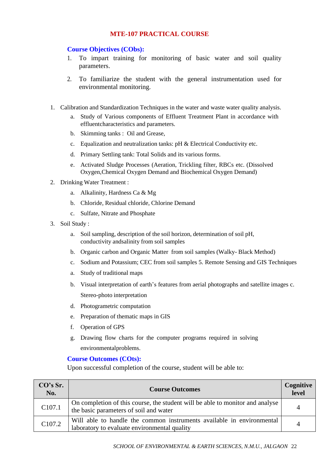# **MTE-107 PRACTICAL COURSE**

#### **Course Objectives (CObs):**

- 1. To impart training for monitoring of basic water and soil quality parameters.
- 2. To familiarize the student with the general instrumentation used for environmental monitoring.
- 1. Calibration and Standardization Techniques in the water and waste water quality analysis.
	- a. Study of Various components of Effluent Treatment Plant in accordance with effluentcharacteristics and parameters.
	- b. Skimming tanks : Oil and Grease,
	- c. Equalization and neutralization tanks: pH & Electrical Conductivity etc.
	- d. Primary Settling tank: Total Solids and its various forms.
	- e. Activated Sludge Processes (Aeration, Trickling filter, RBCs etc. (Dissolved Oxygen,Chemical Oxygen Demand and Biochemical Oxygen Demand)
- 2. Drinking Water Treatment :
	- a. Alkalinity, Hardness Ca & Mg
	- b. Chloride, Residual chloride, Chlorine Demand
	- c. Sulfate, Nitrate and Phosphate
- 3. Soil Study :
	- a. Soil sampling, description of the soil horizon, determination of soil pH, conductivity andsalinity from soil samples
	- b. Organic carbon and Organic Matter from soil samples (Walky- Black Method)
	- c. Sodium and Potassium; CEC from soil samples 5. Remote Sensing and GIS Techniques
	- a. Study of traditional maps
	- b. Visual interpretation of earth's features from aerial photographs and satellite images c. Stereo-photo interpretation
	- d. Photogrametric computation
	- e. Preparation of thematic maps in GIS
	- f. Operation of GPS
	- g. Drawing flow charts for the computer programs required in solving environmentalproblems.

#### **Course Outcomes (COts):**

| CO's Sr.<br>No.    | <b>Course Outcomes</b>                                                                                                  | Cognitive<br>level |
|--------------------|-------------------------------------------------------------------------------------------------------------------------|--------------------|
| C <sub>107.1</sub> | On completion of this course, the student will be able to monitor and analyse<br>the basic parameters of soil and water | 4                  |
| C <sub>107.2</sub> | Will able to handle the common instruments available in environmental<br>laboratory to evaluate environmental quality   | 4                  |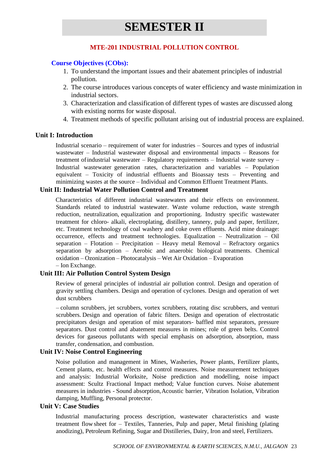# **MTE-201 INDUSTRIAL POLLUTION CONTROL**

# **Course Objectives (CObs):**

- 1. To understand the important issues and their abatement principles of industrial pollution.
- 2. The course introduces various concepts of water efficiency and waste minimization in industrial sectors.
- 3. Characterization and classification of different types of wastes are discussed along with existing norms for waste disposal.
- 4. Treatment methods of specific pollutant arising out of industrial process are explained.

## **Unit I: Introduction**

Industrial scenario – requirement of water for industries – Sources and types of industrial wastewater – Industrial wastewater disposal and environmental impacts – Reasons for treatment ofindustrial wastewater – Regulatory requirements – Industrial waste survey – Industrial wastewater generation rates, characterization and variables – Population equivalent – Toxicity of industrial effluents and Bioassay tests – Preventing and minimizing wastes at the source – Individual and Common Effluent Treatment Plants.

# **Unit II: Industrial Water Pollution Control and Treatment**

Characteristics of different industrial wastewaters and their effects on environment. Standards related to industrial wastewater. Waste volume reduction, waste strength reduction, neutralization, equalization and proportioning. Industry specific wastewater treatment for chloro- alkali, electroplating, distillery, tannery, pulp and paper, fertilizer, etc. Treatment technology of coal washery and coke oven effluents. Acid mine drainage: occurrence, effects and treatment technologies. Equalization – Neutralization – Oil separation – Flotation – Precipitation – Heavy metal Removal – Refractory organics separation by adsorption – Aerobic and anaerobic biological treatments. Chemical oxidation – Ozonization – Photocatalysis – Wet Air Oxidation – Evaporation – Ion Exchange.

## **Unit III: Air Pollution Control System Design**

Review of general principles of industrial air pollution control. Design and operation of gravity settling chambers. Design and operation of cyclones. Design and operation of wet dust scrubbers

– column scrubbers, jet scrubbers, vortex scrubbers, rotating disc scrubbers, and venturi scrubbers. Design and operation of fabric filters. Design and operation of electrostatic precipitators design and operation of mist separators- baffled mist separators, pressure separators. Dust control and abatement measures in mines; role of green belts. Control devices for gaseous pollutants with special emphasis on adsorption, absorption, mass transfer, condensation, and combustion.

## **Unit IV: Noise Control Engineering**

Noise pollution and management in Mines, Washeries, Power plants, Fertilizer plants, Cement plants, etc. health effects and control measures. Noise measurement techniques and analysis: Industrial Worksite, Noise prediction and modelling, noise impact assessment: Scultz Fractional Impact method; Value function curves. Noise abatement measures in industries - Sound absorption,Acoustic barrier, Vibration Isolation, Vibration damping, Muffling, Personal protector.

## **Unit V: Case Studies**

Industrial manufacturing process description, wastewater characteristics and waste treatment flow sheet for – Textiles, Tanneries, Pulp and paper, Metal finishing (plating anodizing), Petroleum Refining, Sugar and Distilleries, Dairy, Iron and steel, Fertilizers.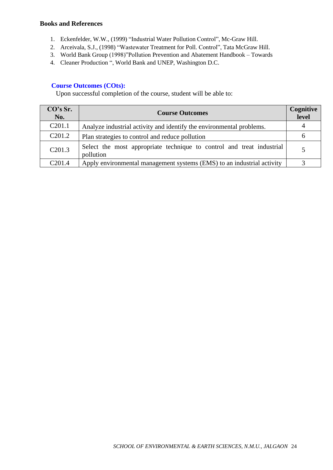#### **Books and References**

- 1. Eckenfelder, W.W., (1999) "Industrial Water Pollution Control", Mc-Graw Hill.
- 2. Arceivala, S.J., (1998) "Wastewater Treatment for Poll. Control", Tata McGraw Hill.
- 3. World Bank Group (1998)"Pollution Prevention and Abatement Handbook Towards
- 4. Cleaner Production ", World Bank and UNEP, Washington D.C.

## **Course Outcomes (COts):**

| CO's Sr.<br>No.    | <b>Course Outcomes</b>                                                             | Cognitive<br>level |
|--------------------|------------------------------------------------------------------------------------|--------------------|
| C <sub>201.1</sub> | Analyze industrial activity and identify the environmental problems.               |                    |
| C <sub>201.2</sub> | Plan strategies to control and reduce pollution                                    | h                  |
| C <sub>201.3</sub> | Select the most appropriate technique to control and treat industrial<br>pollution |                    |
| C <sub>201.4</sub> | Apply environmental management systems (EMS) to an industrial activity             |                    |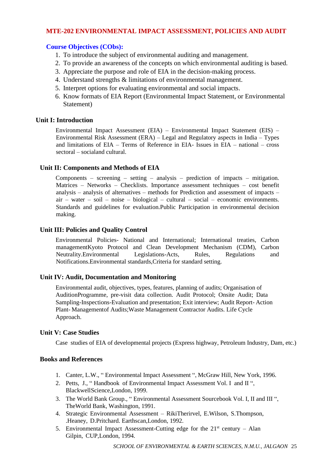# **MTE-202 ENVIRONMENTAL IMPACT ASSESSMENT, POLICIES AND AUDIT**

## **Course Objectives (CObs):**

- 1. To introduce the subject of environmental auditing and management.
- 2. To provide an awareness of the concepts on which environmental auditing is based.
- 3. Appreciate the purpose and role of EIA in the decision-making process.
- 4. Understand strengths & limitations of environmental management.
- 5. Interpret options for evaluating environmental and social impacts.
- 6. Know formats of EIA Report (Environmental Impact Statement, or Environmental Statement)

# **Unit I: Introduction**

Environmental Impact Assessment (EIA) – Environmental Impact Statement (EIS) – Environmental Risk Assessment (ERA) – Legal and Regulatory aspects in India – Types and limitations of  $EIA - Terms$  of Reference in  $EIA$ - Issues in  $EIA - national - cross$ sectoral – socialand cultural.

# **Unit II: Components and Methods of EIA**

Components – screening – setting – analysis – prediction of impacts – mitigation. Matrices – Networks – Checklists. Importance assessment techniques – cost benefit analysis – analysis of alternatives – methods for Prediction and assessment of impacts – air – water – soil – noise – biological – cultural – social – economic environments. Standards and guidelines for evaluation.Public Participation in environmental decision making.

# **Unit III: Policies and Quality Control**

Environmental Policies- National and International; International treaties, Carbon managementKyoto Protocol and Clean Development Mechanism (CDM), Carbon<br>Neutrality.Environmental Legislations-Acts, Rules, Regulations and Neutrality.Environmental Legislations-Acts, Rules, Regulations and Notifications.Environmental standards,Criteria for standard setting.

# **Unit IV: Audit, Documentation and Monitoring**

Environmental audit, objectives, types, features, planning of audits; Organisation of AuditionProgramme, pre-visit data collection. Audit Protocol; Onsite Audit; Data Sampling-Inspections-Evaluation and presentation; Exit interview; Audit Report- Action Plant- Managementof Audits;Waste Management Contractor Audits. Life Cycle Approach.

## **Unit V: Case Studies**

Case studies of EIA of developmental projects (Express highway, Petroleum Industry, Dam, etc.)

## **Books and References**

- 1. Canter, L.W., " Environmental Impact Assessment ", McGraw Hill, New York, 1996.
- 2. Petts, J., " Handbook of Environmental Impact Assessment Vol. I and II ", BlackwellScience,London, 1999.
- 3. The World Bank Group., " Environmental Assessment Sourcebook Vol. I, II and III ", TheWorld Bank, Washington, 1991.
- 4. Strategic Environmental Assessment RikiTherirvel, E.Wilson, S.Thompson, .Heaney, D.Pritchard. Earthscan,London, 1992.
- 5. Environmental Impact Assessment-Cutting edge for the  $21<sup>st</sup>$  century Alan Gilpin, CUP,London, 1994.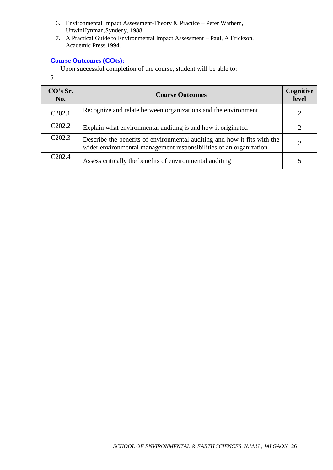- 6. Environmental Impact Assessment-Theory & Practice Peter Wathern, UnwinHynman,Syndeny, 1988.
- 7. A Practical Guide to Environmental Impact Assessment Paul, A Erickson, Academic Press,1994.

Upon successful completion of the course, student will be able to:

5.

| CO's Sr.<br>No.     | <b>Course Outcomes</b>                                                                                                                         | Cognitive<br>level |
|---------------------|------------------------------------------------------------------------------------------------------------------------------------------------|--------------------|
| C <sub>2</sub> 02.1 | Recognize and relate between organizations and the environment                                                                                 |                    |
| C <sub>2</sub> 02.2 | Explain what environmental auditing is and how it originated                                                                                   |                    |
| C <sub>2</sub> 02.3 | Describe the benefits of environmental auditing and how it fits with the<br>wider environmental management responsibilities of an organization |                    |
| C <sub>2</sub> 02.4 | Assess critically the benefits of environmental auditing                                                                                       |                    |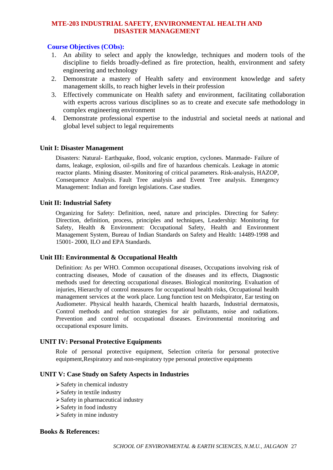## **MTE-203 INDUSTRIAL SAFETY, ENVIRONMENTAL HEALTH AND DISASTER MANAGEMENT**

## **Course Objectives (CObs):**

- 1. An ability to select and apply the knowledge, techniques and modern tools of the discipline to fields broadly-defined as fire protection, health, environment and safety engineering and technology
- 2. Demonstrate a mastery of Health safety and environment knowledge and safety management skills, to reach higher levels in their profession
- 3. Effectively communicate on Health safety and environment, facilitating collaboration with experts across various disciplines so as to create and execute safe methodology in complex engineering environment
- 4. Demonstrate professional expertise to the industrial and societal needs at national and global level subject to legal requirements

#### **Unit I: Disaster Management**

Disasters: Natural- Earthquake, flood, volcanic eruption, cyclones. Manmade- Failure of dams, leakage, explosion, oil-spills and fire of hazardous chemicals. Leakage in atomic reactor plants. Mining disaster. Monitoring of critical parameters. Risk-analysis, HAZOP, Consequence Analysis. Fault Tree analysis and Event Tree analysis. Emergency Management: Indian and foreign legislations. Case studies.

#### **Unit II: Industrial Safety**

Organizing for Safety: Definition, need, nature and principles. Directing for Safety: Direction, definition, process, principles and techniques, Leadership: Monitoring for Safety, Health & Environment: Occupational Safety, Health and Environment Management System, Bureau of Indian Standards on Safety and Health: 14489-1998 and 15001- 2000, ILO and EPA Standards.

## **Unit III: Environmental & Occupational Health**

Definition: As per WHO. Common occupational diseases, Occupations involving risk of contracting diseases, Mode of causation of the diseases and its effects, Diagnostic methods used for detecting occupational diseases. Biological monitoring. Evaluation of injuries, Hierarchy of control measures for occupational health risks, Occupational health management services at the work place. Lung function test on Medspirator, Ear testing on Audiometer. Physical health hazards, Chemical health hazards, Industrial dermatosis, Control methods and reduction strategies for air pollutants, noise and radiations. Prevention and control of occupational diseases. Environmental monitoring and occupational exposure limits.

#### **UNIT IV: Personal Protective Equipments**

Role of personal protective equipment, Selection criteria for personal protective equipment,Respiratory and non-respiratory type personal protective equipments

#### **UNIT V: Case Study on Safety Aspects in Industries**

- ➢Safety in chemical industry
- ➢Safety in textile industry
- ➢Safety in pharmaceutical industry
- ➢Safety in food industry
- ➢Safety in mine industry

#### **Books & References:**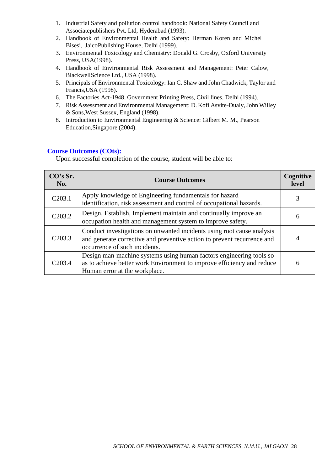- 1. Industrial Safety and pollution control handbook: National Safety Council and Associatepublishers Pvt. Ltd, Hyderabad (1993).
- 2. Handbook of Environmental Health and Safety: Herman Koren and Michel Bisesi, JaicoPublishing House, Delhi (1999).
- 3. Environmental Toxicology and Chemistry: Donald G. Crosby, Oxford University Press, USA(1998).
- 4. Handbook of Environmental Risk Assessment and Management: Peter Calow, BlackwellScience Ltd., USA (1998).
- 5. Principals of Environmental Toxicology: Ian C. Shaw and John Chadwick, Taylor and Francis,USA (1998).
- 6. The Factories Act-1948, Government Printing Press, Civil lines, Delhi (1994).
- 7. Risk Assessment and Environmental Management: D. Kofi Asvite-Dualy,John Willey & Sons,West Sussex, England (1998).
- 8. Introduction to Environmental Engineering & Science: Gilbert M. M., Pearson Education,Singapore (2004).

| CO's Sr.<br>No.     | <b>Course Outcomes</b>                                                                                                                                                             | Cognitive<br>level |
|---------------------|------------------------------------------------------------------------------------------------------------------------------------------------------------------------------------|--------------------|
| C <sub>2</sub> 03.1 | Apply knowledge of Engineering fundamentals for hazard<br>identification, risk assessment and control of occupational hazards.                                                     | 3                  |
| C <sub>2</sub> 03.2 | Design, Establish, Implement maintain and continually improve an<br>occupation health and management system to improve safety.                                                     | 6                  |
| C <sub>2</sub> 03.3 | Conduct investigations on unwanted incidents using root cause analysis<br>and generate corrective and preventive action to prevent recurrence and<br>occurrence of such incidents. |                    |
| C <sub>2</sub> 03.4 | Design man-machine systems using human factors engineering tools so<br>as to achieve better work Environment to improve efficiency and reduce<br>Human error at the workplace.     | 6                  |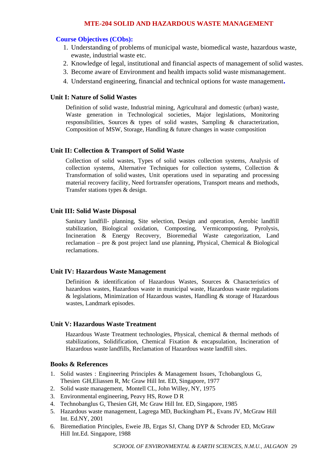#### **MTE-204 SOLID AND HAZARDOUS WASTE MANAGEMENT**

#### **Course Objectives (CObs):**

- 1. Understanding of problems of municipal waste, biomedical waste, hazardous waste, ewaste, industrial waste etc.
- 2. Knowledge of legal, institutional and financial aspects of management of solid wastes.
- 3. Become aware of Environment and health impacts solid waste mismanagement.
- 4. Understand engineering, financial and technical options for waste management**.**

#### **Unit I: Nature of Solid Wastes**

Definition of solid waste, Industrial mining, Agricultural and domestic (urban) waste, Waste generation in Technological societies, Major legislations, Monitoring responsibilities, Sources & types of solid wastes, Sampling & characterization, Composition of MSW, Storage, Handling & future changes in waste composition

#### **Unit II: Collection & Transport of Solid Waste**

Collection of solid wastes, Types of solid wastes collection systems, Analysis of collection systems, Alternative Techniques for collection systems, Collection & Transformation of solid wastes, Unit operations used in separating and processing material recovery facility, Need fortransfer operations, Transport means and methods, Transfer stations types & design.

#### **Unit III: Solid Waste Disposal**

Sanitary landfill- planning, Site selection, Design and operation, Aerobic landfill stabilization, Biological oxidation, Composting, Vermicomposting, Pyrolysis, Incineration & Energy Recovery, Bioremedial Waste categorization, Land reclamation – pre & post project land use planning, Physical, Chemical & Biological reclamations.

#### **Unit IV: Hazardous Waste Management**

Definition & identification of Hazardous Wastes, Sources & Characteristics of hazardous wastes, Hazardous waste in municipal waste, Hazardous waste regulations & legislations, Minimization of Hazardous wastes, Handling & storage of Hazardous wastes, Landmark episodes.

#### **Unit V: Hazardous Waste Treatment**

Hazardous Waste Treatment technologies, Physical, chemical & thermal methods of stabilizations, Solidification, Chemical Fixation & encapsulation, Incineration of Hazardous waste landfills, Reclamation of Hazardous waste landfill sites.

## **Books & References**

- 1. Solid wastes : Engineering Principles & Management Issues, Tchobanglous G, Thesien GH,Eliassen R, Mc Graw Hill Int. ED, Singapore, 1977
- 2. Solid waste management, Montell CL, John Willey, NY, 1975
- 3. Environmental engineering, Peavy HS, Rowe D R
- 4. Technobanglus G, Thesien GH, Mc Graw Hill Int. ED, Singapore, 1985
- 5. Hazardous waste management, Lagrega MD, Buckingham PL, Evans JV, McGraw Hill Int. Ed.NY, 2001
- 6. Biremediation Principles, Eweie JB, Ergas SJ, Chang DYP & Schroder ED, McGraw Hill Int.Ed. Singapore, 1988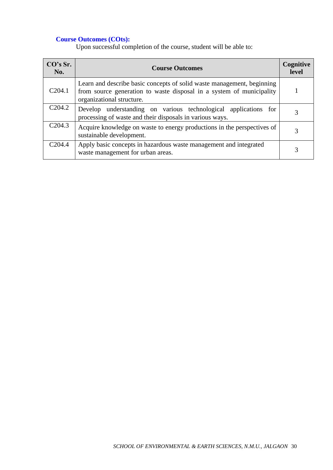| CO's Sr.<br>No.    | <b>Course Outcomes</b>                                                                                                                                                      | Cognitive<br>level |
|--------------------|-----------------------------------------------------------------------------------------------------------------------------------------------------------------------------|--------------------|
| C204.1             | Learn and describe basic concepts of solid waste management, beginning<br>from source generation to waste disposal in a system of municipality<br>organizational structure. |                    |
| C <sub>204.2</sub> | Develop understanding on various technological applications for<br>processing of waste and their disposals in various ways.                                                 |                    |
| C204.3             | Acquire knowledge on waste to energy productions in the perspectives of<br>sustainable development.                                                                         |                    |
| C204.4             | Apply basic concepts in hazardous waste management and integrated<br>waste management for urban areas.                                                                      |                    |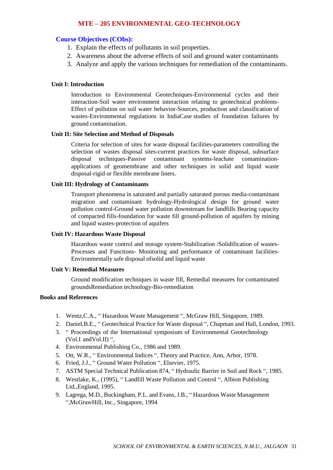## **MTE – 205 ENVIRONMENTAL GEO-TECHNOLOGY**

### **Course Objectives (CObs):**

- 1. Explain the effects of pollutants in soil properties.
- 2. Awareness about the adverse effects of soil and ground water contaminants
- 3. Analyze and apply the various techniques for remediation of the contaminants.

#### **Unit I: Introduction**

Introduction to Environmental Geotechniques-Environmental cycles and their interaction-Soil water environment interaction relating to geotechnical problems-Effect of pollution on soil water behavior-Sources, production and classification of wastes-Environmental regulations in IndiaCase studies of foundation failures by ground contamination.

#### **Unit II: Site Selection and Method of Disposals**

Criteria for selection of sites for waste disposal facilities-parameters controlling the selection of wastes disposal sites-current practices for waste disposal, subsurface disposal techniques-Passive contaminant systems-leachate contaminationapplications of geomembrane and other techniques in solid and liquid waste disposal-rigid or flexible membrane liners.

#### **Unit III: Hydrology of Contaminants**

Transport phenomena in saturated and partially saturated porous media-contaminant migration and contaminant hydrology-Hydrological design for ground water pollution control-Ground water pollution downstream for landfills Bearing capacity of compacted fills-foundation for waste fill ground-pollution of aquifers by mining and liquid wastes-protection of aquifers

#### **Unit IV: Hazardous Waste Disposal**

Hazardous waste control and storage system-Stabilization /Solidification of wastes-Processes and Functions- Monitoring and performance of contaminant facilities-Environmentally safe disposal ofsolid and liquid waste

#### **Unit V: Remedial Measures**

Ground modification techniques in waste fill, Remedial measures for contaminated groundsRemediation technology-Bio-remediation

#### **Books and References**

- 1. Wentz,C.A., " Hazardous Waste Management ", McGraw Hill, Singapore, 1989.
- 2. Daniel,B.E., " Geotechnical Practice for Waste disposal ", Chapman and Hall, London, 1993.
- 3. " Proceedings of the International symposium of Environmental Geotechnology (Vol.I andVol.II) ",
- 4. Environmental Publishing Co., 1986 and 1989.
- 5. Ott, W.R., " Environmental Indices ", Theory and Practice, Ann, Arbor, 1978.
- 6. Fried, J.J., " Ground Water Pollution ", Elsevier, 1975.
- 7. ASTM Special Technical Publication 874, " Hydraulic Barrier in Soil and Rock ", 1985.
- 8. Westlake, K., (1995), " Landfill Waste Pollution and Control ", Albion Publishing Ltd.,England, 1995.
- 9. Lagrega, M.D., Buckingham, P.L. and Evans,J.B., " Hazardous Waste Management ",McGrawHill, Inc., Singapore, 1994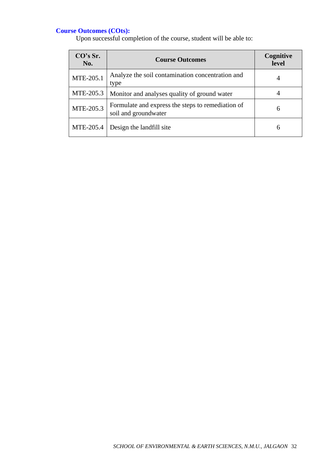| CO's Sr.<br>No. | <b>Course Outcomes</b>                                                    | Cognitive<br>level |
|-----------------|---------------------------------------------------------------------------|--------------------|
| MTE-205.1       | Analyze the soil contamination concentration and<br>type                  |                    |
| MTE-205.3       | Monitor and analyses quality of ground water                              |                    |
| MTE-205.3       | Formulate and express the steps to remediation of<br>soil and groundwater | 6                  |
| MTE-205.4       | Design the landfill site                                                  | 6                  |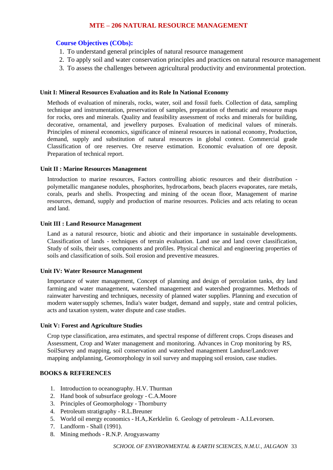# **MTE – 206 NATURAL RESOURCE MANAGEMENT**

# **Course Objectives (CObs):**

- 1. To understand general principles of natural resource management
- 2. To apply soil and water conservation principles and practices on natural resource management
- 3. To assess the challenges between agricultural productivity and environmental protection.

#### **Unit I: Mineral Resources Evaluation and its Role In National Economy**

Methods of evaluation of minerals, rocks, water, soil and fossil fuels. Collection of data, sampling technique and instrumentation, preservation of samples, preparation of thematic and resource maps for rocks, ores and minerals. Quality and feasibility assessment of rocks and minerals for building, decorative, ornamental, and jewellery purposes. Evaluation of medicinal values of minerals. Principles of mineral economics, significance of mineral resources in national economy, Production, demand, supply and substitution of natural resources in global context. Commercial grade Classification of ore reserves. Ore reserve estimation. Economic evaluation of ore deposit. Preparation of technical report.

#### **Unit II : Marine Resources Management**

Introduction to marine resources, Factors controlling abiotic resources and their distribution polymetallic manganese nodules, phosphorites, hydrocarbons, beach placers evaporates, rare metals, corals, pearls and shells. Prospecting and mining of the ocean floor, Management of marine resources, demand, supply and production of marine resources. Policies and acts relating to ocean and land.

#### **Unit III : Land Resource Management**

Land as a natural resource, biotic and abiotic and their importance in sustainable developments. Classification of lands - techniques of terrain evaluation. Land use and land cover classification, Study of soils, their uses, components and profiles. Physical chemical and engineering properties of soils and classification of soils. Soil erosion and preventive measures.

## **Unit IV: Water Resource Management**

Importance of water management, Concept of planning and design of percolation tanks, dry land farming and water management, watershed management and watershed programmes. Methods of rainwater harvesting and techniques, necessity of planned water supplies. Planning and execution of modern watersupply schemes, India's water budget, demand and supply, state and central policies, acts and taxation system, water dispute and case studies.

#### **Unit V: Forest and Agriculture Studies**

Crop type classification, area estimates, and spectral response of different crops. Crops diseases and Assessment, Crop and Water management and monitoring. Advances in Crop monitoring by RS, SoilSurvey and mapping, soil conservation and watershed management Landuse/Landcover mapping andplanning, Geomorphology in soil survey and mapping soil erosion, case studies.

#### **BOOKS & REFERENCES**

- 1. Introduction to oceanography. H.V. Thurman
- 2. Hand book of subsurface geology C.A.Moore
- 3. Principles of Geomorphology Thornburry
- 4. Petroleum stratigraphy R.L.Breuner
- 5. World oil energy economics H.A,.Kerklelin 6. Geology of petroleum A.I.Levorsen.
- 7. Landform Shall (1991).
- 8. Mining methods R.N.P. Arogyaswamy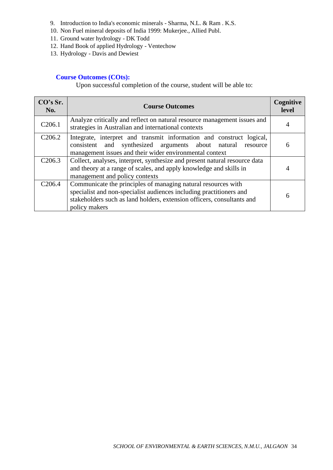- 9. Introduction to India's economic minerals Sharma, N.L. & Ram . K.S.
- 10. Non Fuel mineral deposits of India 1999: Mukerjee., Allied Publ.
- 11. Ground water hydrology DK Todd
- 12. Hand Book of applied Hydrology Ventechow
- 13. Hydrology Davis and Dewiest

| CO's Sr.<br>No.     | <b>Course Outcomes</b>                                                                                                                                                                                                          | Cognitive<br>level |
|---------------------|---------------------------------------------------------------------------------------------------------------------------------------------------------------------------------------------------------------------------------|--------------------|
| C <sub>206.1</sub>  | Analyze critically and reflect on natural resource management issues and<br>strategies in Australian and international contexts                                                                                                 | 4                  |
| C <sub>2</sub> 06.2 | Integrate, interpret and transmit information and construct logical,<br>consistent and synthesized arguments about natural<br>resource<br>management issues and their wider environmental context                               | 6                  |
| C <sub>2</sub> 06.3 | Collect, analyses, interpret, synthesize and present natural resource data<br>and theory at a range of scales, and apply knowledge and skills in<br>management and policy contexts                                              | 4                  |
| C <sub>206.4</sub>  | Communicate the principles of managing natural resources with<br>specialist and non-specialist audiences including practitioners and<br>stakeholders such as land holders, extension officers, consultants and<br>policy makers | 6                  |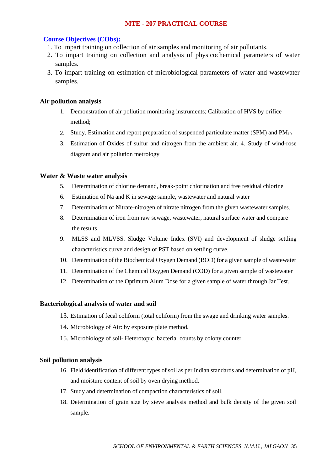## **MTE - 207 PRACTICAL COURSE**

#### **Course Objectives (CObs):**

- 1. To impart training on collection of air samples and monitoring of air pollutants.
- 2. To impart training on collection and analysis of physicochemical parameters of water samples.
- 3. To impart training on estimation of microbiological parameters of water and wastewater samples.

#### **Air pollution analysis**

- 1. Demonstration of air pollution monitoring instruments; Calibration of HVS by orifice method;
- 2. Study, Estimation and report preparation of suspended particulate matter (SPM) and PM<sub>10</sub>
- 3. Estimation of Oxides of sulfur and nitrogen from the ambient air. 4. Study of wind-rose diagram and air pollution metrology

#### **Water & Waste water analysis**

- 5. Determination of chlorine demand, break-point chlorination and free residual chlorine
- 6. Estimation of Na and K in sewage sample, wastewater and natural water
- 7. Determination of Nitrate-nitrogen of nitrate nitrogen from the given wastewater samples.
- 8. Determination of iron from raw sewage, wastewater, natural surface water and compare the results
- 9. MLSS and MLVSS. Sludge Volume Index (SVI) and development of sludge settling characteristics curve and design of PST based on settling curve.
- 10. Determination of the Biochemical Oxygen Demand (BOD) for a given sample of wastewater
- 11. Determination of the Chemical Oxygen Demand (COD) for a given sample of wastewater
- 12. Determination of the Optimum Alum Dose for a given sample of water through Jar Test.

#### **Bacteriological analysis of water and soil**

- 13. Estimation of fecal coliform (total coliform) from the swage and drinking water samples.
- 14. Microbiology of Air: by exposure plate method.
- 15. Microbiology of soil- Heterotopic bacterial counts by colony counter

#### **Soil pollution analysis**

- 16. Field identification of different types of soil as per Indian standards and determination of pH, and moisture content of soil by oven drying method.
- 17. Study and determination of compaction characteristics of soil.
- 18. Determination of grain size by sieve analysis method and bulk density of the given soil sample.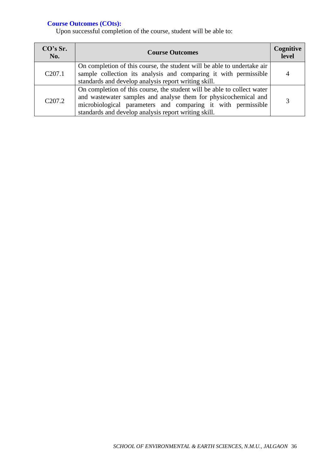| CO's Sr.<br>No.     | <b>Course Outcomes</b>                                                                                                                                                                                                                                             | Cognitive<br>level |
|---------------------|--------------------------------------------------------------------------------------------------------------------------------------------------------------------------------------------------------------------------------------------------------------------|--------------------|
| C <sub>207.1</sub>  | On completion of this course, the student will be able to undertake air<br>sample collection its analysis and comparing it with permissible<br>standards and develop analysis report writing skill.                                                                | 4                  |
| C <sub>2</sub> 07.2 | On completion of this course, the student will be able to collect water<br>and wastewater samples and analyse them for physicochemical and<br>microbiological parameters and comparing it with permissible<br>standards and develop analysis report writing skill. |                    |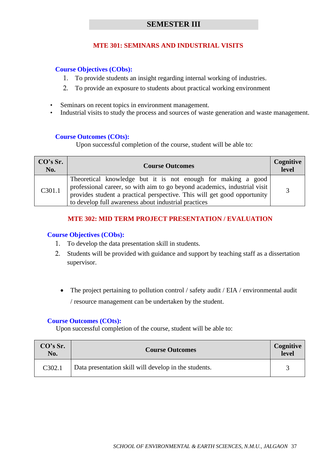# **SEMESTER III**

# **MTE 301: SEMINARS AND INDUSTRIAL VISITS**

## **Course Objectives (CObs):**

- 1. To provide students an insight regarding internal working of industries.
- 2. To provide an exposure to students about practical working environment
- Seminars on recent topics in environment management.
- Industrial visits to study the process and sources of waste generation and waste management.

## **Course Outcomes (COts):**

Upon successful completion of the course, student will be able to:

| CO's Sr.<br>No. | <b>Course Outcomes</b>                                                                                                                                                                                                                                                        | Cognitive<br>level |
|-----------------|-------------------------------------------------------------------------------------------------------------------------------------------------------------------------------------------------------------------------------------------------------------------------------|--------------------|
| C301.1          | Theoretical knowledge but it is not enough for making a good<br>professional career, so with aim to go beyond academics, industrial visit<br>provides student a practical perspective. This will get good opportunity<br>to develop full awareness about industrial practices | 2                  |

# **MTE 302: MID TERM PROJECT PRESENTATION / EVALUATION**

## **Course Objectives (CObs):**

- 1. To develop the data presentation skill in students.
- 2. Students will be provided with guidance and support by teaching staff as a dissertation supervisor.
	- The project pertaining to pollution control / safety audit / EIA / environmental audit / resource management can be undertaken by the student.

## **Course Outcomes (COts):**

| CO's Sr.<br>No. | <b>Course Outcomes</b>                                | Cognitive<br>level |
|-----------------|-------------------------------------------------------|--------------------|
| C302.1          | Data presentation skill will develop in the students. |                    |